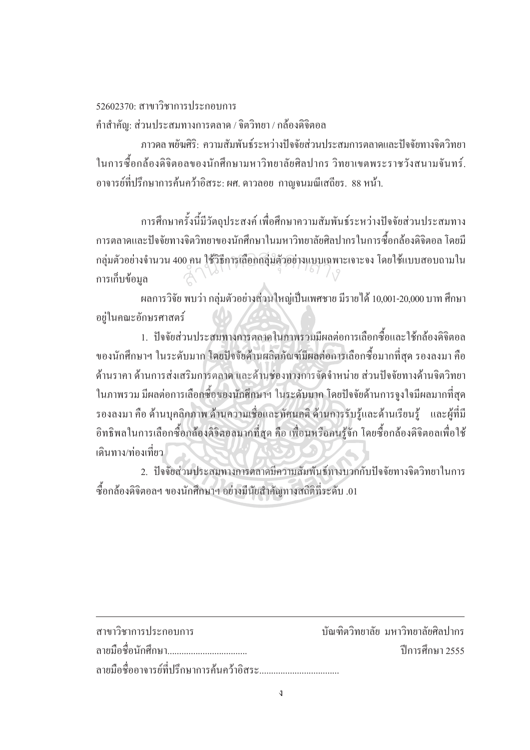## 52602370· สาขาวิชาการประกอบการ

คำสำคัญ: ส่วนประสมทางการตลาด / จิตวิทยา / กล้องดิจิตอล

ิภาวดล พยันศิริ: ความสัมพันธ์ระหว่างปัจจัยส่วนประสมการตลาดและปัจจัยทางจิตวิทยา ในการซื้อกล้องคิจิตอลของนักศึกษามหาวิทยาลัยศิลปากร วิทยาเขตพระราชวังสนามจันทร์. ้อาจารย์ที่ปรึกษาการค้นคว้าอิสระ: ผศ. ดาวลอย กาณจนมณีเสถียร. 88 หน้า.

ึการศึกษาครั้งนี้มีวัตถุประสงค์ เพื่อศึกษาความสัมพันธ์ระหว่างปัจจัยส่วนประสมทาง ้การตลาดและปัจจัยทางจิตวิทยาของนักศึกษาในมหาวิทยาลัยศิลปากรในการซื้อกล้องดิจิตอล โดยมี ึกลุ่มตัวอย่างจำนวน 400 คน ใช้วิธีการเลือกกลุ่มตัวอย่างแบบเฉพาะเจาะจง โดยใช้แบบสอบถามใน การเก็บข้อมล

ผลการวิจัย พบว่า กล่มตัวอย่างส่วนใหญ่เป็นเพศชาย มีรายได้ 10,001-20,000 บาท ศึกษา อย่ในคณะอักษรศาสตร์

1. ปัจจัยส่วนประสมทางการตลาดในภาพรวมมีผลต่อการเลือกซื้อและใช้กล้องดิจิตอล ของนักศึกษาฯ ในระดับมาก โดยปัจจัยด้านผลิตภัณฑ์มีผลต่อการเลือกซื้อมากที่สุด รองลงมา คือ ้ด้านราคา ด้านการส่งเสริมการตลาด และด้านช่องทางการจัดจำหน่าย ส่วนปัจจัยทางด้านจิตวิทยา ในภาพรวม มีผลต่อการเลือกซื้อของนักศึกษาฯ ในระดับมาก โดยปัจจัยด้านการจงใจมีผลมากที่สด รองลงมา คือ ด้านบุคลิกภาพ ด้านความเชื่อและทัศนคติ ด้านการรับรู้และด้านเรียนรู้ และผู้ที่มี ้อิทธิพลในการเลือกซื้อกล้องคิจิตอลมากที่สุด คือ เพื่อนหรือคนรู้จัก โดยซื้อกล้องคิจิตอลเพื่อใช้ ้เดินทาง/ท่องเที่ยว

2. ปัจจัยส่วนประสมทางการตลาดมีความสัมพันธ์ทางบวกกับปัจจัยทางจิตวิทยาในการ ซื้อกล้องดิจิตอลฯ ของนักศึกษาฯ อย่างมีนัยสำคัญทางสถิติที่ระดับ .01

| สาขาวิชาการประกอบการ | ้ บัณฑิตวิทยาลัย มหาวิทยาลัยศิลปากร |
|----------------------|-------------------------------------|
| ิลายมือชื่อนักศึกษา  | ์ ปีการศึกษา 2555                   |
|                      |                                     |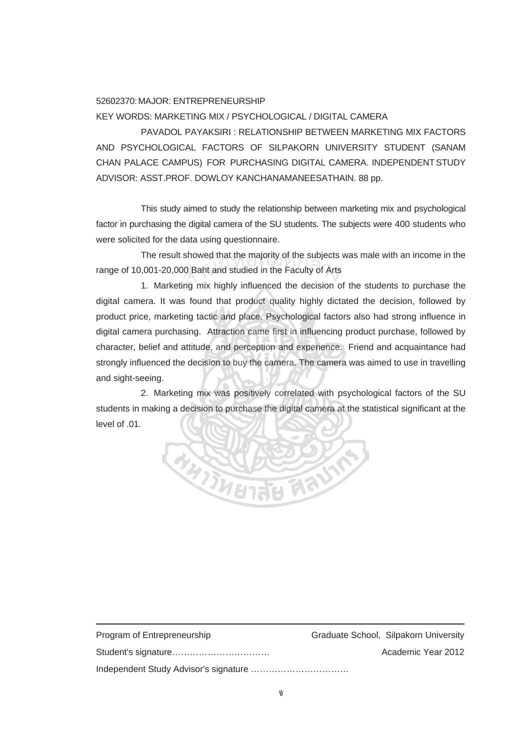## 52602370:MAJOR: ENTREPRENEURSHIP KEY WORDS: MARKETING MIX / PSYCHOLOGICAL / DIGITAL CAMERA

 PAVADOL PAYAKSIRI : RELATIONSHIP BETWEEN MARKETING MIX FACTORS AND PSYCHOLOGICAL FACTORS OF SILPAKORN UNIVERSITY STUDENT (SANAM CHAN PALACE CAMPUS) FOR PURCHASING DIGITAL CAMERA. INDEPENDENTSTUDY ADVISOR: ASST.PROF. DOWLOY KANCHANAMANEESATHAIN. 88 pp.

This study aimed to study the relationship between marketing mix and psychological factor in purchasing the digital camera of the SU students. The subjects were 400 students who were solicited for the data using questionnaire.

The result showed that the majority of the subjects was male with an income in the range of 10,001-20,000 Baht and studied in the Faculty of Arts showed that the majority of the subjects<br>10 Baht and studied in the Faculty of Arts<br>ing mix bighly influenced the decision of

1. Marketing mix highly influenced the decision of the students to purchase the digital camera. It was found that product quality highly dictated the decision, followed by product price, marketing tactic and place. Psychological factors also had strong influence in digital camera purchasing. Attraction came first in influencing product purchase, followed by character, belief and attitude, and perception and experience. Friend and acquaintance had strongly influenced the decision to buy the camera. The camera was aimed to use in travelling and sight-seeing.

2. Marketing mix was positively correlated with psychological factors of the SU students in making a decision to purchase the digital camera at the statistical significant at the level of .01.



| Program of Entrepreneurship | Graduate School, Silpakorn University |
|-----------------------------|---------------------------------------|
|                             | Academic Year 2012                    |
|                             |                                       |